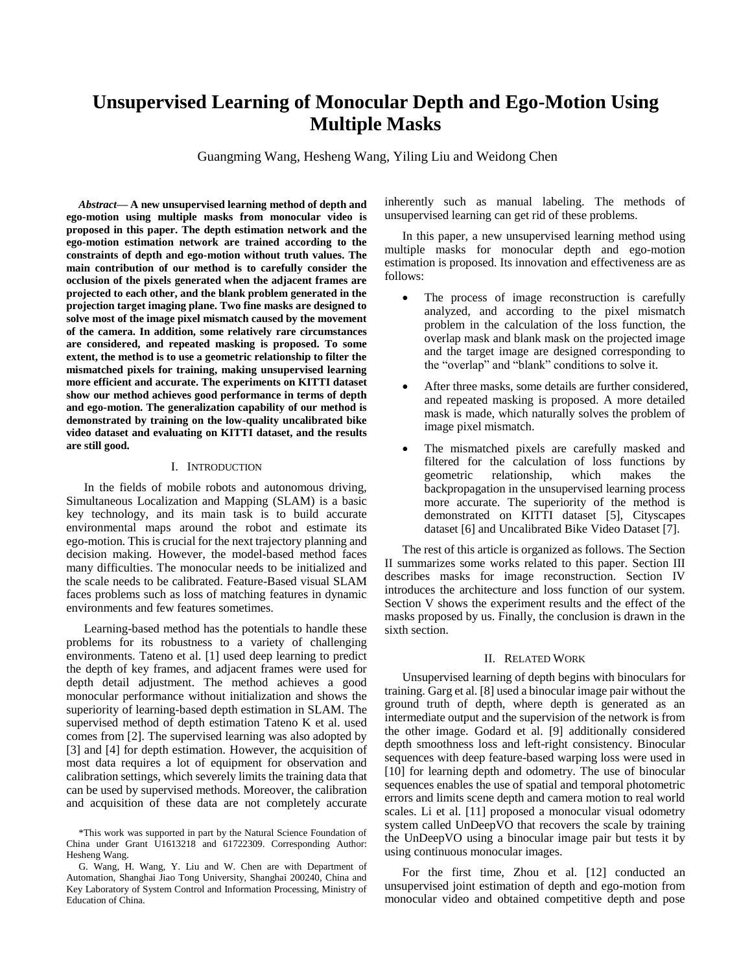# **Unsupervised Learning of Monocular Depth and Ego-Motion Using Multiple Masks**

Guangming Wang, Hesheng Wang, Yiling Liu and Weidong Chen

*Abstract—* **A new unsupervised learning method of depth and ego-motion using multiple masks from monocular video is proposed in this paper. The depth estimation network and the ego-motion estimation network are trained according to the constraints of depth and ego-motion without truth values. The main contribution of our method is to carefully consider the occlusion of the pixels generated when the adjacent frames are projected to each other, and the blank problem generated in the projection target imaging plane. Two fine masks are designed to solve most of the image pixel mismatch caused by the movement of the camera. In addition, some relatively rare circumstances are considered, and repeated masking is proposed. To some extent, the method is to use a geometric relationship to filter the mismatched pixels for training, making unsupervised learning more efficient and accurate. The experiments on KITTI dataset show our method achieves good performance in terms of depth and ego-motion. The generalization capability of our method is demonstrated by training on the low-quality uncalibrated bike video dataset and evaluating on KITTI dataset, and the results are still good.**

## I. INTRODUCTION

In the fields of mobile robots and autonomous driving, Simultaneous Localization and Mapping (SLAM) is a basic key technology, and its main task is to build accurate environmental maps around the robot and estimate its ego-motion. This is crucial for the next trajectory planning and decision making. However, the model-based method faces many difficulties. The monocular needs to be initialized and the scale needs to be calibrated. Feature-Based visual SLAM faces problems such as loss of matching features in dynamic environments and few features sometimes.

Learning-based method has the potentials to handle these problems for its robustness to a variety of challenging environments. Tateno et al. [1] used deep learning to predict the depth of key frames, and adjacent frames were used for depth detail adjustment. The method achieves a good monocular performance without initialization and shows the superiority of learning-based depth estimation in SLAM. The supervised method of depth estimation Tateno K et al. used comes from [2]. The supervised learning was also adopted by [3] and [4] for depth estimation. However, the acquisition of most data requires a lot of equipment for observation and calibration settings, which severely limits the training data that can be used by supervised methods. Moreover, the calibration and acquisition of these data are not completely accurate inherently such as manual labeling. The methods of unsupervised learning can get rid of these problems.

In this paper, a new unsupervised learning method using multiple masks for monocular depth and ego-motion estimation is proposed. Its innovation and effectiveness are as follows:

- The process of image reconstruction is carefully analyzed, and according to the pixel mismatch problem in the calculation of the loss function, the overlap mask and blank mask on the projected image and the target image are designed corresponding to the "overlap" and "blank" conditions to solve it.
- After three masks, some details are further considered, and repeated masking is proposed. A more detailed mask is made, which naturally solves the problem of image pixel mismatch.
- The mismatched pixels are carefully masked and filtered for the calculation of loss functions by geometric relationship, which makes the backpropagation in the unsupervised learning process more accurate. The superiority of the method is demonstrated on KITTI dataset [5], Cityscapes dataset [6] and Uncalibrated Bike Video Dataset [7].

The rest of this article is organized as follows. The Section II summarizes some works related to this paper. Section III describes masks for image reconstruction. Section IV introduces the architecture and loss function of our system. Section V shows the experiment results and the effect of the masks proposed by us. Finally, the conclusion is drawn in the sixth section.

## II. RELATED WORK

Unsupervised learning of depth begins with binoculars for training. Garg et al. [8] used a binocular image pair without the ground truth of depth, where depth is generated as an intermediate output and the supervision of the network is from the other image. Godard et al. [9] additionally considered depth smoothness loss and left-right consistency. Binocular sequences with deep feature-based warping loss were used in [10] for learning depth and odometry. The use of binocular sequences enables the use of spatial and temporal photometric errors and limits scene depth and camera motion to real world scales. Li et al. [11] proposed a monocular visual odometry system called UnDeepVO that recovers the scale by training the UnDeepVO using a binocular image pair but tests it by using continuous monocular images.

For the first time, Zhou et al. [12] conducted an unsupervised joint estimation of depth and ego-motion from monocular video and obtained competitive depth and pose

<sup>\*</sup>This work was supported in part by the Natural Science Foundation of China under Grant U1613218 and 61722309. Corresponding Author: Hesheng Wang.

G. Wang, H. Wang, Y. Liu and W. Chen are with Department of Automation, Shanghai Jiao Tong University, Shanghai 200240, China and Key Laboratory of System Control and Information Processing, Ministry of Education of China.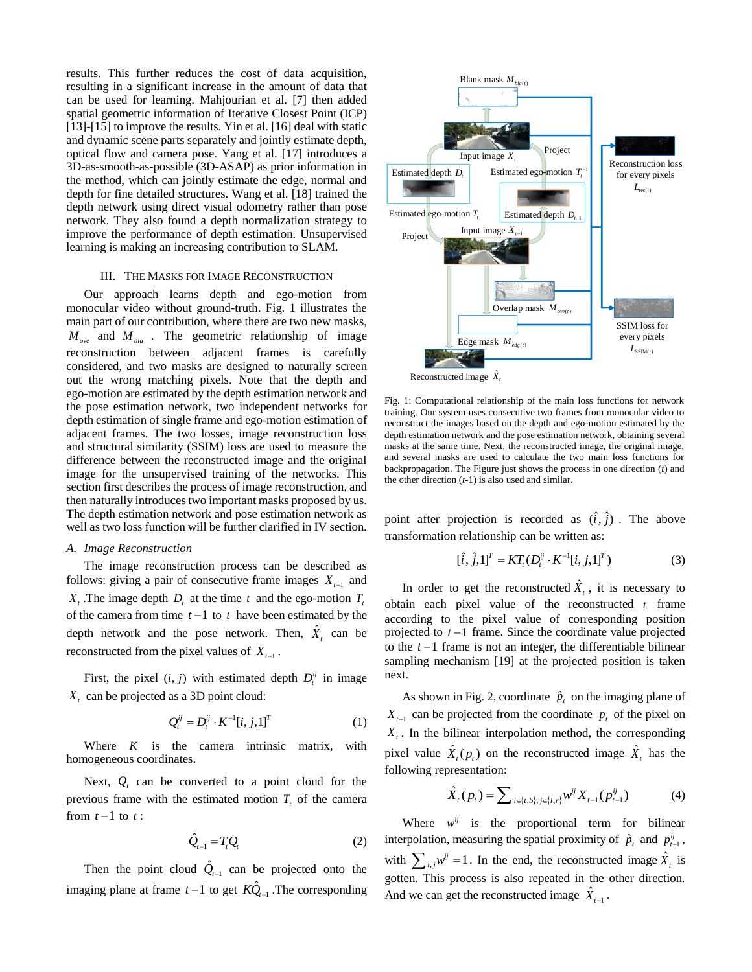results. This further reduces the cost of data acquisition, resulting in a significant increase in the amount of data that can be used for learning. Mahjourian et al. [7] then added spatial geometric information of Iterative Closest Point (ICP) [13]-[15] to improve the results. Yin et al. [16] deal with static and dynamic scene parts separately and jointly estimate depth, optical flow and camera pose. Yang et al. [17] introduces a 3D-as-smooth-as-possible (3D-ASAP) as prior information in the method, which can jointly estimate the edge, normal and depth for fine detailed structures. Wang et al. [18] trained the depth network using direct visual odometry rather than pose network. They also found a depth normalization strategy to improve the performance of depth estimation. Unsupervised learning is making an increasing contribution to SLAM.

## III. THE MASKS FOR IMAGE RECONSTRUCTION

Our approach learns depth and ego-motion from monocular video without ground-truth. Fig. 1 illustrates the main part of our contribution, where there are two new masks,  $M_{\text{ove}}$  and  $M_{\text{bla}}$ . The geometric relationship of image reconstruction between adjacent frames is carefully considered, and two masks are designed to naturally screen out the wrong matching pixels. Note that the depth and ego-motion are estimated by the depth estimation network and the pose estimation network, two independent networks for depth estimation of single frame and ego-motion estimation of adjacent frames. The two losses, image reconstruction loss and structural similarity (SSIM) loss are used to measure the difference between the reconstructed image and the original image for the unsupervised training of the networks. This section first describes the process of image reconstruction, and then naturally introduces two important masks proposed by us. The depth estimation network and pose estimation network as well as two loss function will be further clarified in IV section.

## *A. Image Reconstruction*

The image reconstruction process can be described as follows: giving a pair of consecutive frame images  $X_{t-1}$  and *X*<sub>t</sub>. The image depth  $D_t$  at the time  $t$  and the ego-motion  $T_t$ of the camera from time  $t-1$  to  $t$  have been estimated by the depth network and the pose network. Then,  $\hat{X}_t$  can be reconstructed from the pixel values of  $X_{t-1}$ .

First, the pixel  $(i, j)$  with estimated depth  $D_i^{ij}$  in image *Xt* can be projected as a 3D point cloud:

$$
Q_t^{ij} = D_t^{ij} \cdot K^{-1}[i, j, 1]^T
$$
 (1)

Where  $K$  is the camera intrinsic matrix, with homogeneous coordinates.

Next,  $Q_t$  can be converted to a point cloud for the previous frame with the estimated motion  $T<sub>t</sub>$  of the camera from  $t-1$  to  $t$ :

$$
\hat{Q}_{t-1} = T_t Q_t \tag{2}
$$

Then the point cloud  $Q_{t-1}$  $\hat{Q}_{t-1}$  can be projected onto the imaging plane at frame  $t-1$  to get  $KQ_{t-1}$  $K\hat{Q}_{t-1}$  .The corresponding





Fig. 1: Computational relationship of the main loss functions for network training. Our system uses consecutive two frames from monocular video to reconstruct the images based on the depth and ego-motion estimated by the depth estimation network and the pose estimation network, obtaining several masks at the same time. Next, the reconstructed image, the original image, and several masks are used to calculate the two main loss functions for backpropagation. The Figure just shows the process in one direction (*t*) and the other direction (*t*-1) is also used and similar.

point after projection is recorded as  $(\hat{i}, \hat{j})$ . The above transformation relationship can be written as:

$$
[\hat{i}, \hat{j}, 1]^T = KT_t(D_t^{ij} \cdot K^{-1}[i, j, 1]^T)
$$
 (3)

In order to get the reconstructed  $\hat{X}_t$ , it is necessary to obtain each pixel value of the reconstructed *t* frame according to the pixel value of corresponding position projected to *t* <sup>−</sup>1 frame. Since the coordinate value projected to the  $t-1$  frame is not an integer, the differentiable bilinear sampling mechanism [19] at the projected position is taken next.

As shown in Fig. 2, coordinate  $\hat{p}_t$  on the imaging plane of  $X_{t-1}$  can be projected from the coordinate  $p_t$  of the pixel on  $X_t$ . In the bilinear interpolation method, the corresponding pixel value  $\hat{X}_i(p_t)$  on the reconstructed image  $\hat{X}_i$  has the following representation:

$$
\hat{X}_t(p_t) = \sum_{i \in \{t, b\}, j \in \{l, r\}} w^{ij} X_{t-1}(p_{t-1}^{ij})
$$
(4)

Where  $w^{ij}$  is the proportional term for bilinear interpolation, measuring the spatial proximity of  $\hat{p}_t$  and  $p_{t-1}^{ij}$ , with  $\sum_{i,j} w^{ij} = 1$ . In the end, the reconstructed image  $\hat{X}_t$  is gotten. This process is also repeated in the other direction. And we can get the reconstructed image  $X_{t-1}$  $\hat{X}_{t-1}$  .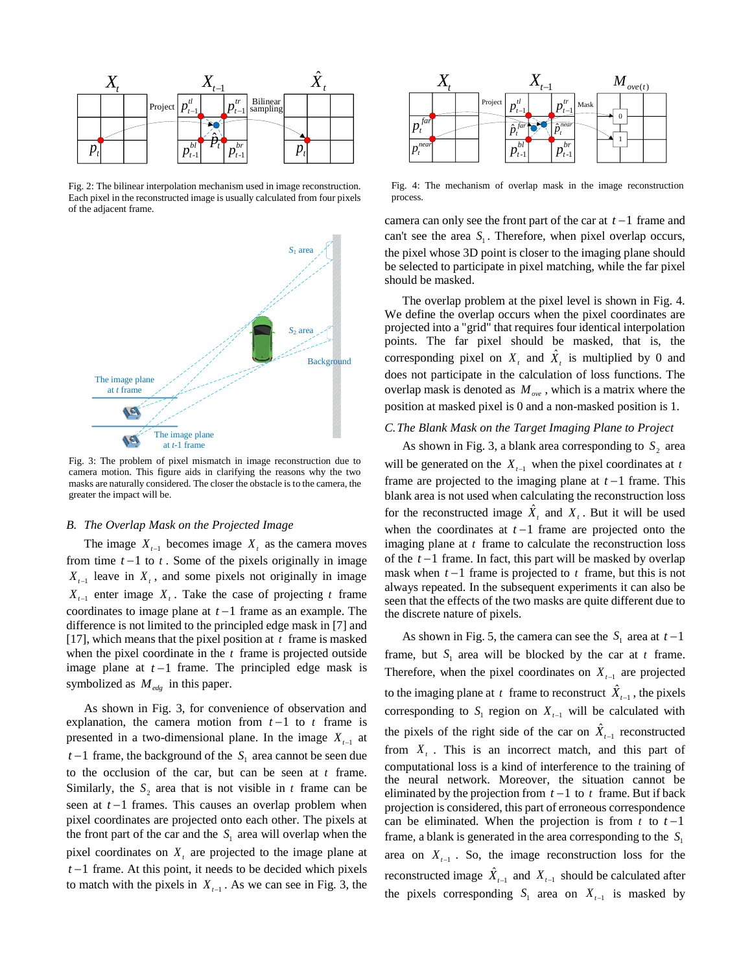

Fig. 2: The bilinear interpolation mechanism used in image reconstruction. Each pixel in the reconstructed image is usually calculated from four pixels of the adjacent frame.



Fig. 3: The problem of pixel mismatch in image reconstruction due to camera motion. This figure aids in clarifying the reasons why the two masks are naturally considered. The closer the obstacle is to the camera, the greater the impact will be.

## *B. The Overlap Mask on the Projected Image*

The image  $X_{t-1}$  becomes image  $X_t$  as the camera moves from time  $t-1$  to  $t$ . Some of the pixels originally in image  $X_{t-1}$  leave in  $X_t$ , and some pixels not originally in image  $X_{t-1}$  enter image  $X_t$ . Take the case of projecting t frame coordinates to image plane at *t* <sup>−</sup>1 frame as an example. The difference is not limited to the principled edge mask in [7] and [17], which means that the pixel position at  $t$  frame is masked when the pixel coordinate in the  $t$  frame is projected outside image plane at  $t-1$  frame. The principled edge mask is symbolized as  $M_{\text{edge}}$  in this paper.

As shown in Fig. 3, for convenience of observation and explanation, the camera motion from  $t-1$  to  $t$  frame is presented in a two-dimensional plane. In the image  $X_{t-1}$  at *t* −1 frame, the background of the  $S_1$  area cannot be seen due to the occlusion of the car, but can be seen at *t* frame. Similarly, the  $S_2$  area that is not visible in t frame can be seen at *t* −1 frames. This causes an overlap problem when pixel coordinates are projected onto each other. The pixels at the front part of the car and the  $S_1$  area will overlap when the pixel coordinates on  $X_t$  are projected to the image plane at *t* <sup>−</sup>1 frame. At this point, it needs to be decided which pixels to match with the pixels in  $X_{t-1}$ . As we can see in Fig. 3, the



Fig. 4: The mechanism of overlap mask in the image reconstruction process.

camera can only see the front part of the car at *t* −1 frame and can't see the area  $S_1$ . Therefore, when pixel overlap occurs, the pixel whose 3D point is closer to the imaging plane should be selected to participate in pixel matching, while the far pixel should be masked.

The overlap problem at the pixel level is shown in Fig. 4. We define the overlap occurs when the pixel coordinates are projected into a "grid" that requires four identical interpolation points. The far pixel should be masked, that is, the corresponding pixel on  $X_t$  and  $\hat{X}_t$  is multiplied by 0 and does not participate in the calculation of loss functions. The overlap mask is denoted as  $M_{\text{ove}}$ , which is a matrix where the position at masked pixel is 0 and a non-masked position is 1.

# *C.The Blank Mask on the Target Imaging Plane to Project*

As shown in Fig. 3, a blank area corresponding to  $S_2$  area will be generated on the  $X_{t-1}$  when the pixel coordinates at *t* frame are projected to the imaging plane at  $t-1$  frame. This blank area is not used when calculating the reconstruction loss for the reconstructed image  $\hat{X}_t$  and  $X_t$ . But it will be used when the coordinates at  $t-1$  frame are projected onto the imaging plane at *t* frame to calculate the reconstruction loss of the *t* <sup>−</sup>1 frame. In fact, this part will be masked by overlap mask when  $t-1$  frame is projected to  $t$  frame, but this is not always repeated. In the subsequent experiments it can also be seen that the effects of the two masks are quite different due to the discrete nature of pixels.

As shown in Fig. 5, the camera can see the  $S_1$  area at  $t-1$ frame, but  $S_1$  area will be blocked by the car at t frame. Therefore, when the pixel coordinates on  $X_{t-1}$  are projected to the imaging plane at  $t$  frame to reconstruct  $X_{t-1}$  $\hat{X}_{t-1}$ , the pixels corresponding to  $S_1$  region on  $X_{t-1}$  will be calculated with the pixels of the right side of the car on  $X_{t-1}$  $\hat{X}_{t-1}$  reconstructed from  $X_t$ . This is an incorrect match, and this part of computational loss is a kind of interference to the training of the neural network. Moreover, the situation cannot be eliminated by the projection from  $t-1$  to  $t$  frame. But if back projection is considered, this part of erroneous correspondence can be eliminated. When the projection is from  $t$  to  $t-1$ frame, a blank is generated in the area corresponding to the  $S_1$ area on  $X_{t-1}$ . So, the image reconstruction loss for the reconstructed image  $X_{t-1}$  $\hat{X}_{t-1}$  and  $X_{t-1}$  should be calculated after the pixels corresponding  $S_1$  area on  $X_{t-1}$  is masked by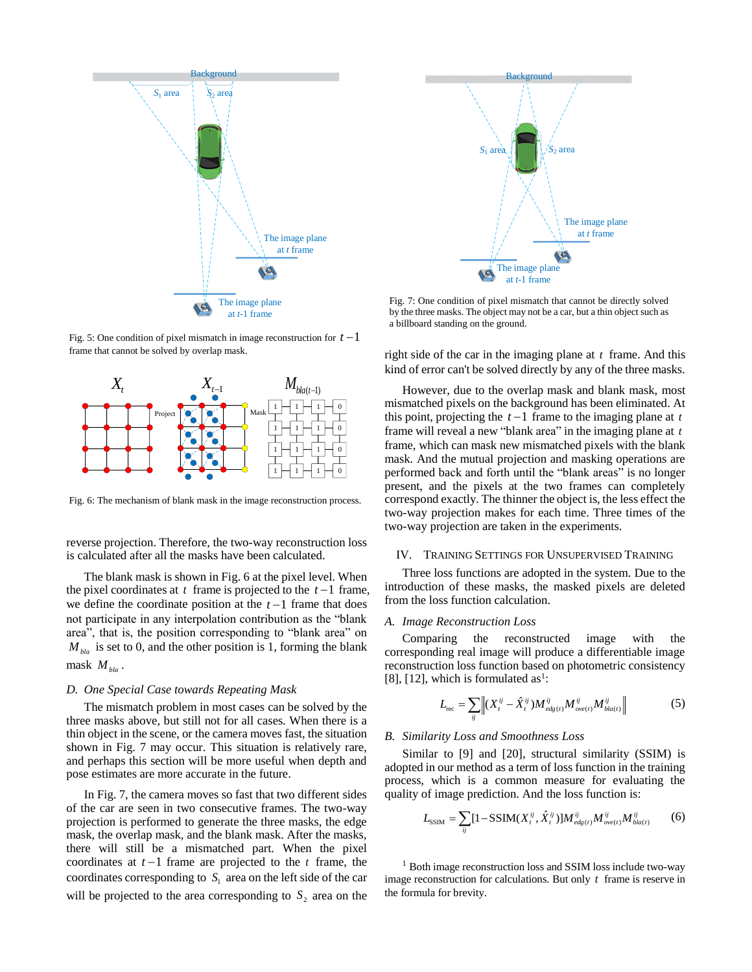

Fig. 5: One condition of pixel mismatch in image reconstruction for  $t-1$ frame that cannot be solved by overlap mask.



Fig. 6: The mechanism of blank mask in the image reconstruction process.

reverse projection. Therefore, the two-way reconstruction loss is calculated after all the masks have been calculated.

The blank mask is shown in Fig. 6 at the pixel level. When the pixel coordinates at  $t$  frame is projected to the  $t-1$  frame, we define the coordinate position at the  $t-1$  frame that does not participate in any interpolation contribution as the "blank area", that is, the position corresponding to "blank area" on  $M_{bla}$  is set to 0, and the other position is 1, forming the blank mask *Mbla* .

## *D. One Special Case towards Repeating Mask*

The mismatch problem in most cases can be solved by the three masks above, but still not for all cases. When there is a thin object in the scene, or the camera moves fast, the situation shown in Fig. 7 may occur. This situation is relatively rare, and perhaps this section will be more useful when depth and pose estimates are more accurate in the future.

In Fig. 7, the camera moves so fast that two different sides of the car are seen in two consecutive frames. The two-way projection is performed to generate the three masks, the edge mask, the overlap mask, and the blank mask. After the masks, there will still be a mismatched part. When the pixel coordinates at  $t-1$  frame are projected to the  $t$  frame, the coordinates corresponding to  $S<sub>1</sub>$  area on the left side of the car will be projected to the area corresponding to  $S_2$  area on the



Fig. 7: One condition of pixel mismatch that cannot be directly solved by the three masks. The object may not be a car, but a thin object such as a billboard standing on the ground.

right side of the car in the imaging plane at *t* frame. And this kind of error can't be solved directly by any of the three masks.

 $M_{\text{bla}(t-1)}$  <sup>However</sup>, due to the overlap mask and blank mask, most<br> $\overline{A_1 \cup A_2 \cup A_3}$  mismatched pixels on the background has been eliminated. At However, due to the overlap mask and blank mask, most this point, projecting the  $t-1$  frame to the imaging plane at  $t$ frame will reveal a new "blank area" in the imaging plane at *t* frame, which can mask new mismatched pixels with the blank mask. And the mutual projection and masking operations are performed back and forth until the "blank areas" is no longer present, and the pixels at the two frames can completely correspond exactly. The thinner the object is, the less effect the two-way projection makes for each time. Three times of the two-way projection are taken in the experiments.

#### IV. TRAINING SETTINGS FOR UNSUPERVISED TRAINING

Three loss functions are adopted in the system. Due to the introduction of these masks, the masked pixels are deleted from the loss function calculation.

#### *A. Image Reconstruction Loss*

Comparing the reconstructed image with the corresponding real image will produce a differentiable image reconstruction loss function based on photometric consistency [8], [12], which is formulated as<sup>1</sup>:

$$
L_{\text{rec}} = \sum_{ij} \left\| (X_i^{ij} - \hat{X}_i^{ij}) M_{\text{edg}(t)}^{ij} M_{\text{ove}(t)}^{ij} M_{\text{bla}(t)}^{ij} \right\|
$$
 (5)

#### *B. Similarity Loss and Smoothness Loss*

Similar to [9] and [20], structural similarity (SSIM) is adopted in our method as a term of loss function in the training process, which is a common measure for evaluating the quality of image prediction. And the loss function is:

$$
L_{SSIM} = \sum_{ij} [1 - SSIM(X_t^{ij}, \hat{X}_t^{ij})] M_{edg(t)}^{ij} M_{ovet}^{ij} M_{bla(t)}^{ij}
$$
 (6)

<sup>1</sup> Both image reconstruction loss and SSIM loss include two-way image reconstruction for calculations. But only *t* frame is reserve in the formula for brevity.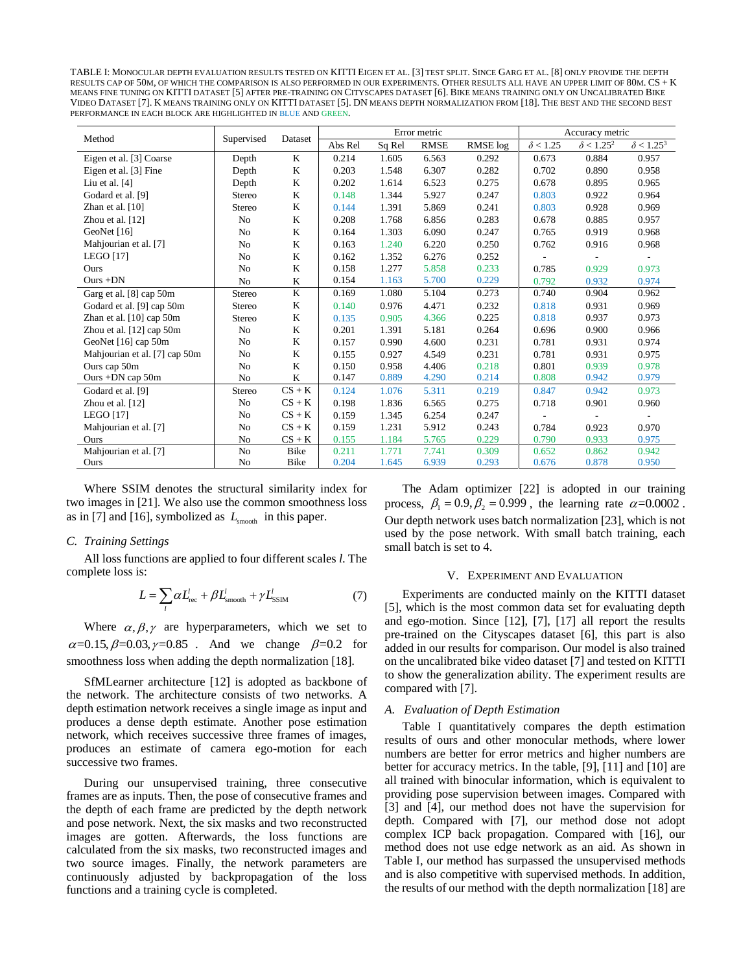TABLE I: MONOCULAR DEPTH EVALUATION RESULTS TESTED ON KITTI EIGEN ET AL. [3] TEST SPLIT. SINCE GARG ET AL. [8] ONLY PROVIDE THE DEPTH RESULTS CAP OF 50M, OF WHICH THE COMPARISON IS ALSO PERFORMED IN OUR EXPERIMENTS. OTHER RESULTS ALL HAVE AN UPPER LIMIT OF 80M. CS + K MEANS FINE TUNING ON KITTI DATASET [5] AFTER PRE-TRAINING ON CITYSCAPES DATASET [6]. BIKE MEANS TRAINING ONLY ON UNCALIBRATED BIKE VIDEO DATASET [7]. K MEANS TRAINING ONLY ON KITTI DATASET [5]. DN MEANS DEPTH NORMALIZATION FROM [18]. THE BEST AND THE SECOND BEST PERFORMANCE IN EACH BLOCK ARE HIGHLIGHTED IN BLUE AND GREEN.

| Method                        | Supervised     | Dataset     | Error metric |        |             |          | Accuracy metric |                              |                              |
|-------------------------------|----------------|-------------|--------------|--------|-------------|----------|-----------------|------------------------------|------------------------------|
|                               |                |             | Abs Rel      | Sq Rel | <b>RMSE</b> | RMSE log | $\delta$ < 1.25 | $\delta$ < 1.25 <sup>2</sup> | $\delta$ < 1.25 <sup>3</sup> |
| Eigen et al. [3] Coarse       | Depth          | K           | 0.214        | 1.605  | 6.563       | 0.292    | 0.673           | 0.884                        | 0.957                        |
| Eigen et al. [3] Fine         | Depth          | K           | 0.203        | 1.548  | 6.307       | 0.282    | 0.702           | 0.890                        | 0.958                        |
| Liu et al. $[4]$              | Depth          | K           | 0.202        | 1.614  | 6.523       | 0.275    | 0.678           | 0.895                        | 0.965                        |
| Godard et al. [9]             | Stereo         | K           | 0.148        | 1.344  | 5.927       | 0.247    | 0.803           | 0.922                        | 0.964                        |
| Zhan et al. $[10]$            | Stereo         | K           | 0.144        | 1.391  | 5.869       | 0.241    | 0.803           | 0.928                        | 0.969                        |
| Zhou et al. [12]              | N <sub>o</sub> | K           | 0.208        | 1.768  | 6.856       | 0.283    | 0.678           | 0.885                        | 0.957                        |
| GeoNet [16]                   | N <sub>o</sub> | K           | 0.164        | 1.303  | 6.090       | 0.247    | 0.765           | 0.919                        | 0.968                        |
| Mahjourian et al. [7]         | N <sub>0</sub> | K           | 0.163        | 1.240  | 6.220       | 0.250    | 0.762           | 0.916                        | 0.968                        |
| <b>LEGO</b> [17]              | No             | K           | 0.162        | 1.352  | 6.276       | 0.252    |                 |                              |                              |
| Ours                          | No             | K           | 0.158        | 1.277  | 5.858       | 0.233    | 0.785           | 0.929                        | 0.973                        |
| $Ours + DN$                   | N <sub>o</sub> | K           | 0.154        | 1.163  | 5.700       | 0.229    | 0.792           | 0.932                        | 0.974                        |
| Garg et al. [8] cap 50m       | Stereo         | $\mathbf K$ | 0.169        | 1.080  | 5.104       | 0.273    | 0.740           | 0.904                        | 0.962                        |
| Godard et al. [9] cap 50m     | Stereo         | K           | 0.140        | 0.976  | 4.471       | 0.232    | 0.818           | 0.931                        | 0.969                        |
| Zhan et al. $[10]$ cap 50m    | Stereo         | K           | 0.135        | 0.905  | 4.366       | 0.225    | 0.818           | 0.937                        | 0.973                        |
| Zhou et al. [12] cap 50m      | N <sub>0</sub> | $\mathbf K$ | 0.201        | 1.391  | 5.181       | 0.264    | 0.696           | 0.900                        | 0.966                        |
| GeoNet [16] cap 50m           | N <sub>o</sub> | K           | 0.157        | 0.990  | 4.600       | 0.231    | 0.781           | 0.931                        | 0.974                        |
| Mahjourian et al. [7] cap 50m | N <sub>o</sub> | K           | 0.155        | 0.927  | 4.549       | 0.231    | 0.781           | 0.931                        | 0.975                        |
| Ours cap 50m                  | N <sub>o</sub> | $\mathbf K$ | 0.150        | 0.958  | 4.406       | 0.218    | 0.801           | 0.939                        | 0.978                        |
| Ours $+DN$ cap 50m            | N <sub>o</sub> | K           | 0.147        | 0.889  | 4.290       | 0.214    | 0.808           | 0.942                        | 0.979                        |
| Godard et al. [9]             | Stereo         | $CS + K$    | 0.124        | 1.076  | 5.311       | 0.219    | 0.847           | 0.942                        | 0.973                        |
| Zhou et al. [12]              | N <sub>o</sub> | $CS + K$    | 0.198        | 1.836  | 6.565       | 0.275    | 0.718           | 0.901                        | 0.960                        |
| <b>LEGO</b> [17]              | N <sub>0</sub> | $CS + K$    | 0.159        | 1.345  | 6.254       | 0.247    |                 |                              |                              |
| Mahjourian et al. [7]         | No             | $CS + K$    | 0.159        | 1.231  | 5.912       | 0.243    | 0.784           | 0.923                        | 0.970                        |
| Ours                          | No             | $CS + K$    | 0.155        | 1.184  | 5.765       | 0.229    | 0.790           | 0.933                        | 0.975                        |
| Mahjourian et al. [7]         | No             | Bike        | 0.211        | 1.771  | 7.741       | 0.309    | 0.652           | 0.862                        | 0.942                        |
| Ours                          | No             | Bike        | 0.204        | 1.645  | 6.939       | 0.293    | 0.676           | 0.878                        | 0.950                        |

Where SSIM denotes the structural similarity index for two images in [21]. We also use the common smoothness loss as in [7] and [16], symbolized as  $L_{\text{smooth}}$  in this paper.

## *C. Training Settings*

All loss functions are applied to four different scales *l*. The complete loss is:

$$
L = \sum_{l} \alpha L_{\text{rec}}^{l} + \beta L_{\text{smooth}}^{l} + \gamma L_{\text{SSIM}}^{l}
$$
 (7)

Where  $\alpha, \beta, \gamma$  are hyperparameters, which we set to  $\alpha = 0.15, \beta = 0.03, \gamma = 0.85$ . And we change  $\beta = 0.2$  for smoothness loss when adding the depth normalization [18].

SfMLearner architecture [12] is adopted as backbone of the network. The architecture consists of two networks. A depth estimation network receives a single image as input and produces a dense depth estimate. Another pose estimation network, which receives successive three frames of images, produces an estimate of camera ego-motion for each successive two frames.

During our unsupervised training, three consecutive frames are as inputs. Then, the pose of consecutive frames and the depth of each frame are predicted by the depth network and pose network. Next, the six masks and two reconstructed images are gotten. Afterwards, the loss functions are calculated from the six masks, two reconstructed images and two source images. Finally, the network parameters are continuously adjusted by backpropagation of the loss functions and a training cycle is completed.

The Adam optimizer [22] is adopted in our training process,  $\beta_1 = 0.9$ ,  $\beta_2 = 0.999$ , the learning rate  $\alpha = 0.0002$ . Our depth network uses batch normalization [23], which is not used by the pose network. With small batch training, each small batch is set to 4.

#### V. EXPERIMENT AND EVALUATION

Experiments are conducted mainly on the KITTI dataset [5], which is the most common data set for evaluating depth and ego-motion. Since [12], [7], [17] all report the results pre-trained on the Cityscapes dataset [6], this part is also added in our results for comparison. Our model is also trained on the uncalibrated bike video dataset [7] and tested on KITTI to show the generalization ability. The experiment results are compared with [7].

## *A. Evaluation of Depth Estimation*

Table I quantitatively compares the depth estimation results of ours and other monocular methods, where lower numbers are better for error metrics and higher numbers are better for accuracy metrics. In the table, [9], [11] and [10] are all trained with binocular information, which is equivalent to providing pose supervision between images. Compared with [3] and [4], our method does not have the supervision for depth. Compared with [7], our method dose not adopt complex ICP back propagation. Compared with [16], our method does not use edge network as an aid. As shown in Table I, our method has surpassed the unsupervised methods and is also competitive with supervised methods. In addition, the results of our method with the depth normalization [18] are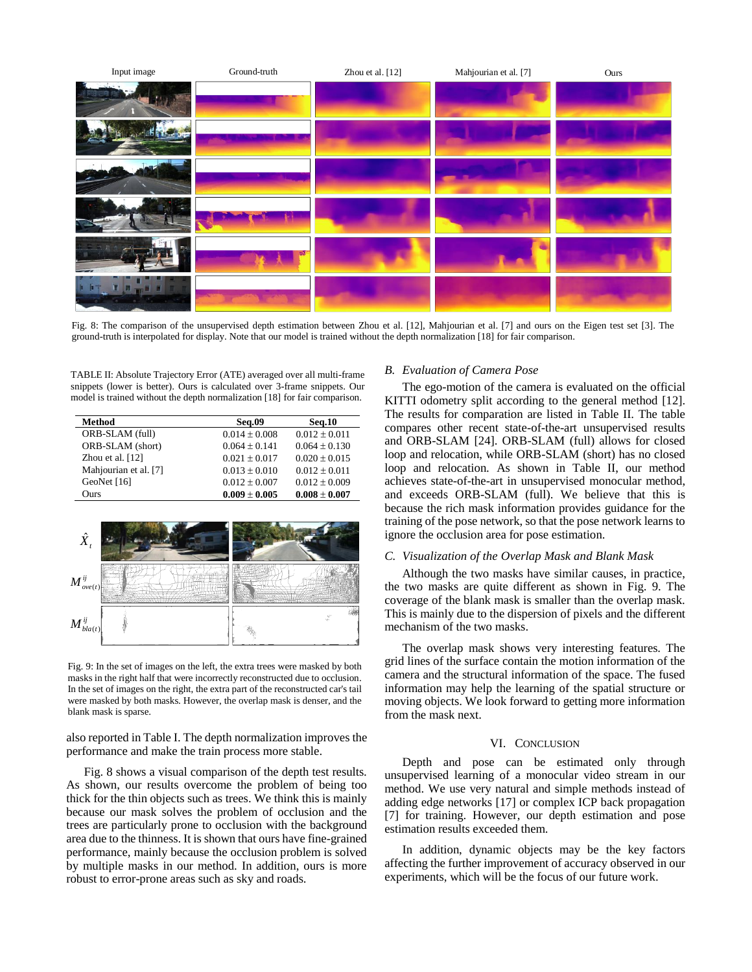

Fig. 8: The comparison of the unsupervised depth estimation between Zhou et al. [12], Mahjourian et al. [7] and ours on the Eigen test set [3]. The ground-truth is interpolated for display. Note that our model is trained without the depth normalization [18] for fair comparison.

TABLE II: Absolute Trajectory Error (ATE) averaged over all multi-frame snippets (lower is better). Ours is calculated over 3-frame snippets. Our model is trained without the depth normalization [18] for fair comparison.

| Method                | <b>Seq.09</b>     | <b>Seq.10</b>     |
|-----------------------|-------------------|-------------------|
| ORB-SLAM (full)       | $0.014 + 0.008$   | $0.012 + 0.011$   |
| ORB-SLAM (short)      | $0.064 + 0.141$   | $0.064 + 0.130$   |
| Zhou et al. $[12]$    | $0.021 + 0.017$   | $0.020 + 0.015$   |
| Mahjourian et al. [7] | $0.013 + 0.010$   | $0.012 + 0.011$   |
| GeoNet $[16]$         | $0.012 + 0.007$   | $0.012 \pm 0.009$ |
| Ours                  | $0.009 \pm 0.005$ | $0.008 \pm 0.007$ |



Fig. 9: In the set of images on the left, the extra trees were masked by both masks in the right half that were incorrectly reconstructed due to occlusion. In the set of images on the right, the extra part of the reconstructed car's tail were masked by both masks. However, the overlap mask is denser, and the blank mask is sparse.

also reported in Table I. The depth normalization improves the performance and make the train process more stable.

Fig. 8 shows a visual comparison of the depth test results. As shown, our results overcome the problem of being too thick for the thin objects such as trees. We think this is mainly because our mask solves the problem of occlusion and the trees are particularly prone to occlusion with the background area due to the thinness. It is shown that ours have fine-grained performance, mainly because the occlusion problem is solved by multiple masks in our method. In addition, ours is more robust to error-prone areas such as sky and roads.

## *B. Evaluation of Camera Pose*

The ego-motion of the camera is evaluated on the official KITTI odometry split according to the general method [12]. The results for comparation are listed in Table II. The table compares other recent state-of-the-art unsupervised results and ORB-SLAM [24]. ORB-SLAM (full) allows for closed loop and relocation, while ORB-SLAM (short) has no closed loop and relocation. As shown in Table II, our method achieves state-of-the-art in unsupervised monocular method, and exceeds ORB-SLAM (full). We believe that this is because the rich mask information provides guidance for the training of the pose network, so that the pose network learns to ignore the occlusion area for pose estimation.

#### *C. Visualization of the Overlap Mask and Blank Mask*

Although the two masks have similar causes, in practice, the two masks are quite different as shown in Fig. 9. The coverage of the blank mask is smaller than the overlap mask. This is mainly due to the dispersion of pixels and the different mechanism of the two masks.

The overlap mask shows very interesting features. The grid lines of the surface contain the motion information of the camera and the structural information of the space. The fused information may help the learning of the spatial structure or moving objects. We look forward to getting more information from the mask next.

# VI. CONCLUSION

Depth and pose can be estimated only through unsupervised learning of a monocular video stream in our method. We use very natural and simple methods instead of adding edge networks [17] or complex ICP back propagation [7] for training. However, our depth estimation and pose estimation results exceeded them.

In addition, dynamic objects may be the key factors affecting the further improvement of accuracy observed in our experiments, which will be the focus of our future work.